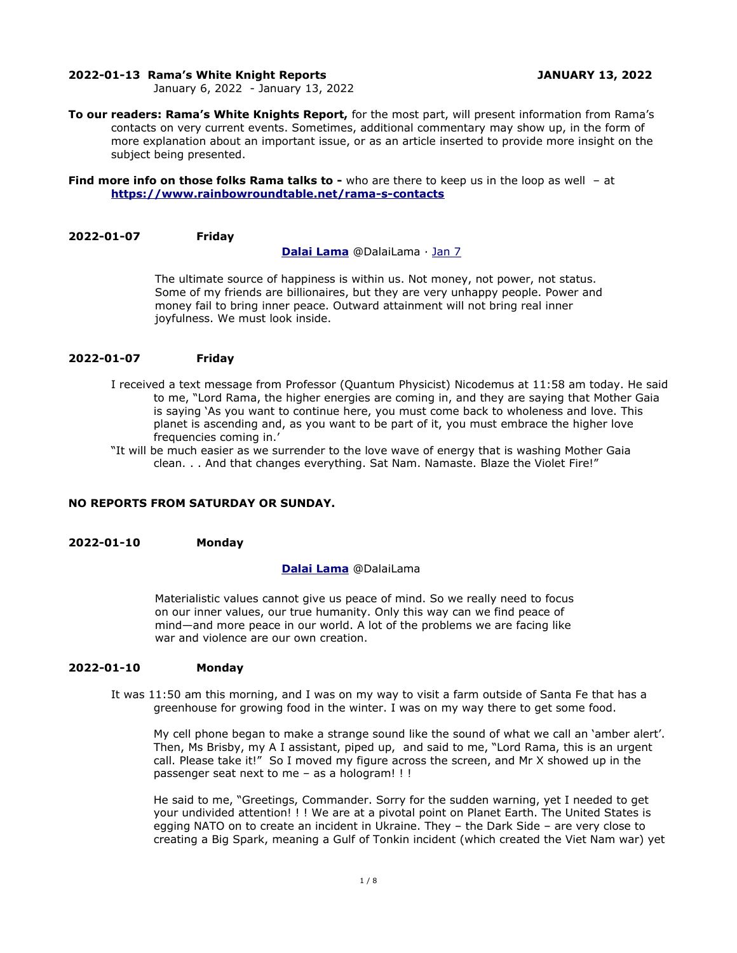#### **2022-01-13 Rama's White Knight Reports JANUARY 13, 2022**

January 6, 2022 - January 13, 2022

**To our readers: Rama's White Knights Report,** for the most part, will present information from Rama's contacts on very current events. Sometimes, additional commentary may show up, in the form of more explanation about an important issue, or as an article inserted to provide more insight on the subject being presented.

**Find more info on those folks Rama talks to -** who are there to keep us in the loop as well - at **<https://www.rainbowroundtable.net/rama-s-contacts>**

### **2022-01-07 Friday**

#### **[Dalai Lama](https://twitter.com/DalaiLama)** @DalaiLama · [Jan 7](https://twitter.com/DalaiLama/status/1479385216561004548)

The ultimate source of happiness is within us. Not money, not power, not status. Some of my friends are billionaires, but they are very unhappy people. Power and money fail to bring inner peace. Outward attainment will not bring real inner joyfulness. We must look inside.

#### **2022-01-07 Friday**

- I received a text message from Professor (Quantum Physicist) Nicodemus at 11:58 am today. He said to me, "Lord Rama, the higher energies are coming in, and they are saying that Mother Gaia is saying 'As you want to continue here, you must come back to wholeness and love. This planet is ascending and, as you want to be part of it, you must embrace the higher love frequencies coming in.'
- "It will be much easier as we surrender to the love wave of energy that is washing Mother Gaia clean. . . And that changes everything. Sat Nam. Namaste. Blaze the Violet Fire!"

# **NO REPORTS FROM SATURDAY OR SUNDAY.**

#### **2022-01-10 Monday**

#### **[Dalai Lama](https://twitter.com/DalaiLama)** @DalaiLama

Materialistic values cannot give us peace of mind. So we really need to focus on our inner values, our true humanity. Only this way can we find peace of mind—and more peace in our world. A lot of the problems we are facing like war and violence are our own creation.

# **2022-01-10 Monday**

It was 11:50 am this morning, and I was on my way to visit a farm outside of Santa Fe that has a greenhouse for growing food in the winter. I was on my way there to get some food.

My cell phone began to make a strange sound like the sound of what we call an 'amber alert'. Then, Ms Brisby, my A I assistant, piped up, and said to me, "Lord Rama, this is an urgent call. Please take it!" So I moved my figure across the screen, and Mr X showed up in the passenger seat next to me – as a hologram! ! !

He said to me, "Greetings, Commander. Sorry for the sudden warning, yet I needed to get your undivided attention! ! ! We are at a pivotal point on Planet Earth. The United States is egging NATO on to create an incident in Ukraine. They – the Dark Side – are very close to creating a Big Spark, meaning a Gulf of Tonkin incident (which created the Viet Nam war) yet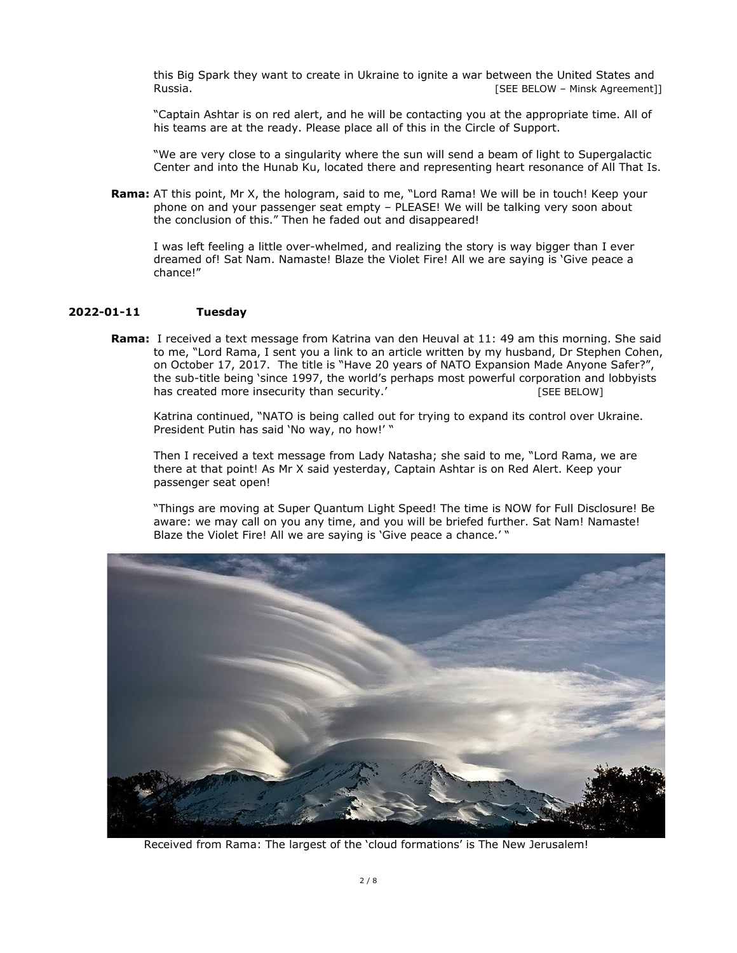this Big Spark they want to create in Ukraine to ignite a war between the United States and Russia. [SEE BELOW – Minsk Agreement]]

"Captain Ashtar is on red alert, and he will be contacting you at the appropriate time. All of his teams are at the ready. Please place all of this in the Circle of Support.

"We are very close to a singularity where the sun will send a beam of light to Supergalactic Center and into the Hunab Ku, located there and representing heart resonance of All That Is.

**Rama:** AT this point, Mr X, the hologram, said to me, "Lord Rama! We will be in touch! Keep your phone on and your passenger seat empty – PLEASE! We will be talking very soon about the conclusion of this." Then he faded out and disappeared!

I was left feeling a little over-whelmed, and realizing the story is way bigger than I ever dreamed of! Sat Nam. Namaste! Blaze the Violet Fire! All we are saying is 'Give peace a chance!"

# **2022-01-11 Tuesday**

**Rama:** I received a text message from Katrina van den Heuval at 11: 49 am this morning. She said to me, "Lord Rama, I sent you a link to an article written by my husband, Dr Stephen Cohen, on October 17, 2017. The title is "Have 20 years of NATO Expansion Made Anyone Safer?", the sub-title being 'since 1997, the world's perhaps most powerful corporation and lobbyists has created more insecurity than security.' [SEE BELOW]

Katrina continued, "NATO is being called out for trying to expand its control over Ukraine. President Putin has said 'No way, no how!' "

Then I received a text message from Lady Natasha; she said to me, "Lord Rama, we are there at that point! As Mr X said yesterday, Captain Ashtar is on Red Alert. Keep your passenger seat open!

"Things are moving at Super Quantum Light Speed! The time is NOW for Full Disclosure! Be aware: we may call on you any time, and you will be briefed further. Sat Nam! Namaste! Blaze the Violet Fire! All we are saying is 'Give peace a chance.' "



Received from Rama: The largest of the 'cloud formations' is The New Jerusalem!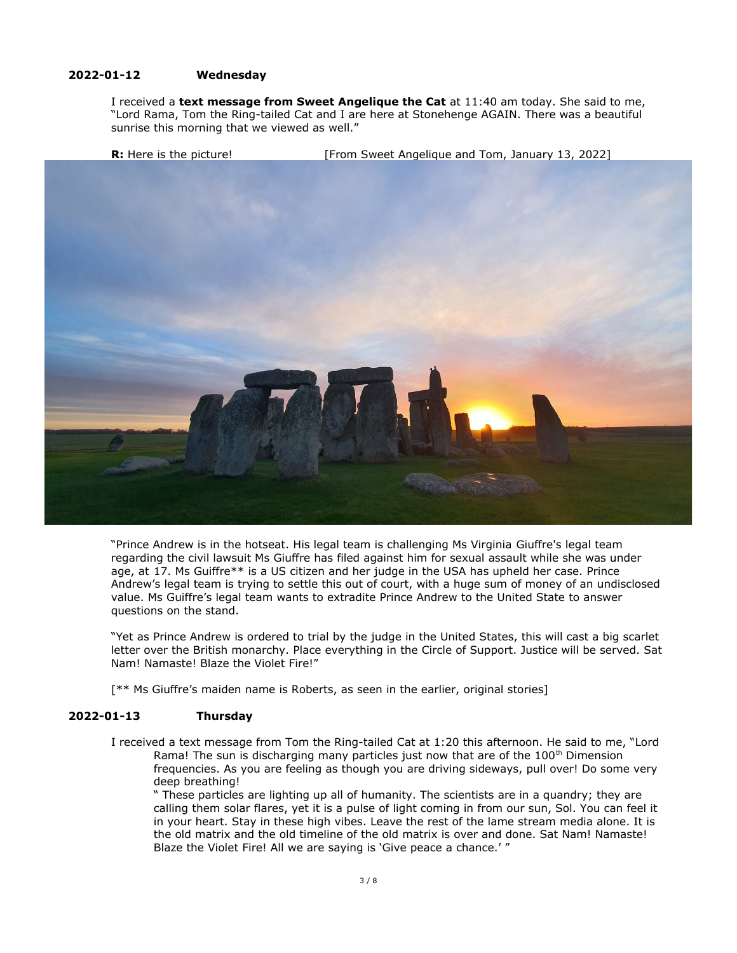# **2022-01-12 Wednesday**

I received a **text message from Sweet Angelique the Cat** at 11:40 am today. She said to me, "Lord Rama, Tom the Ring-tailed Cat and I are here at Stonehenge AGAIN. There was a beautiful sunrise this morning that we viewed as well."

**R:** Here is the picture! [From Sweet Angelique and Tom, January 13, 2022]



"Prince Andrew is in the hotseat. His legal team is challenging Ms Virginia Giuffre's legal team regarding the civil lawsuit Ms Giuffre has filed against him for sexual assault while she was under age, at 17. Ms Guiffre\*\* is a US citizen and her judge in the USA has upheld her case. Prince Andrew's legal team is trying to settle this out of court, with a huge sum of money of an undisclosed value. Ms Guiffre's legal team wants to extradite Prince Andrew to the United State to answer questions on the stand.

"Yet as Prince Andrew is ordered to trial by the judge in the United States, this will cast a big scarlet letter over the British monarchy. Place everything in the Circle of Support. Justice will be served. Sat Nam! Namaste! Blaze the Violet Fire!"

[\*\* Ms Giuffre's maiden name is Roberts, as seen in the earlier, original stories]

### **2022-01-13 Thursday**

I received a text message from Tom the Ring-tailed Cat at 1:20 this afternoon. He said to me, "Lord Rama! The sun is discharging many particles just now that are of the  $100<sup>th</sup>$  Dimension frequencies. As you are feeling as though you are driving sideways, pull over! Do some very deep breathing!

" These particles are lighting up all of humanity. The scientists are in a quandry; they are calling them solar flares, yet it is a pulse of light coming in from our sun, Sol. You can feel it in your heart. Stay in these high vibes. Leave the rest of the lame stream media alone. It is the old matrix and the old timeline of the old matrix is over and done. Sat Nam! Namaste! Blaze the Violet Fire! All we are saying is 'Give peace a chance.' "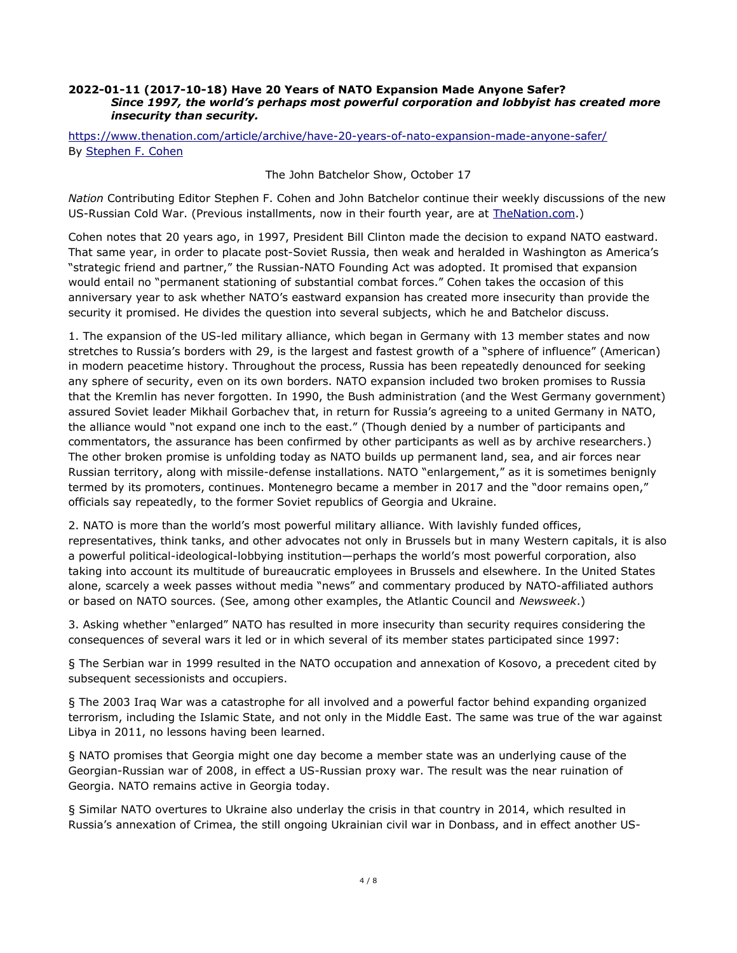#### **2022-01-11 (2017-10-18) Have 20 Years of NATO Expansion Made Anyone Safer?**  *Since 1997, the world's perhaps most powerful corporation and lobbyist has created more insecurity than security.*

# <https://www.thenation.com/article/archive/have-20-years-of-nato-expansion-made-anyone-safer/> By [Stephen F. Cohen](https://www.thenation.com/authors/stephen-f-cohen/)

The John Batchelor Show, October 17

*Nation* Contributing Editor Stephen F. Cohen and John Batchelor continue their weekly discussions of the new US-Russian Cold War. (Previous installments, now in their fourth year, are at [TheNation.com](https://www.thenation.com/authors/stephen-f-cohen/).)

Cohen notes that 20 years ago, in 1997, President Bill Clinton made the decision to expand NATO eastward. That same year, in order to placate post-Soviet Russia, then weak and heralded in Washington as America's "strategic friend and partner," the Russian-NATO Founding Act was adopted. It promised that expansion would entail no "permanent stationing of substantial combat forces." Cohen takes the occasion of this anniversary year to ask whether NATO's eastward expansion has created more insecurity than provide the security it promised. He divides the question into several subjects, which he and Batchelor discuss.

1. The expansion of the US-led military alliance, which began in Germany with 13 member states and now stretches to Russia's borders with 29, is the largest and fastest growth of a "sphere of influence" (American) in modern peacetime history. Throughout the process, Russia has been repeatedly denounced for seeking any sphere of security, even on its own borders. NATO expansion included two broken promises to Russia that the Kremlin has never forgotten. In 1990, the Bush administration (and the West Germany government) assured Soviet leader Mikhail Gorbachev that, in return for Russia's agreeing to a united Germany in NATO, the alliance would "not expand one inch to the east." (Though denied by a number of participants and commentators, the assurance has been confirmed by other participants as well as by archive researchers.) The other broken promise is unfolding today as NATO builds up permanent land, sea, and air forces near Russian territory, along with missile-defense installations. NATO "enlargement," as it is sometimes benignly termed by its promoters, continues. Montenegro became a member in 2017 and the "door remains open," officials say repeatedly, to the former Soviet republics of Georgia and Ukraine.

2. NATO is more than the world's most powerful military alliance. With lavishly funded offices, representatives, think tanks, and other advocates not only in Brussels but in many Western capitals, it is also a powerful political-ideological-lobbying institution—perhaps the world's most powerful corporation, also taking into account its multitude of bureaucratic employees in Brussels and elsewhere. In the United States alone, scarcely a week passes without media "news" and commentary produced by NATO-affiliated authors or based on NATO sources. (See, among other examples, the Atlantic Council and *Newsweek*.)

3. Asking whether "enlarged" NATO has resulted in more insecurity than security requires considering the consequences of several wars it led or in which several of its member states participated since 1997:

§ The Serbian war in 1999 resulted in the NATO occupation and annexation of Kosovo, a precedent cited by subsequent secessionists and occupiers.

§ The 2003 Iraq War was a catastrophe for all involved and a powerful factor behind expanding organized terrorism, including the Islamic State, and not only in the Middle East. The same was true of the war against Libya in 2011, no lessons having been learned.

§ NATO promises that Georgia might one day become a member state was an underlying cause of the Georgian-Russian war of 2008, in effect a US-Russian proxy war. The result was the near ruination of Georgia. NATO remains active in Georgia today.

§ Similar NATO overtures to Ukraine also underlay the crisis in that country in 2014, which resulted in Russia's annexation of Crimea, the still ongoing Ukrainian civil war in Donbass, and in effect another US-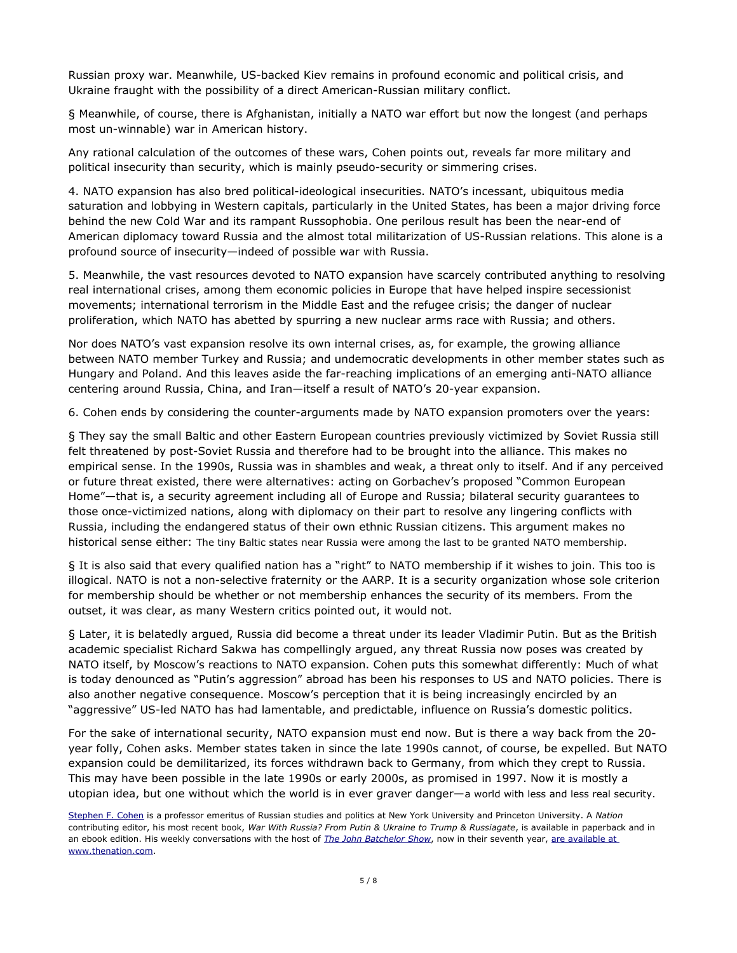Russian proxy war. Meanwhile, US-backed Kiev remains in profound economic and political crisis, and Ukraine fraught with the possibility of a direct American-Russian military conflict.

§ Meanwhile, of course, there is Afghanistan, initially a NATO war effort but now the longest (and perhaps most un-winnable) war in American history.

Any rational calculation of the outcomes of these wars, Cohen points out, reveals far more military and political insecurity than security, which is mainly pseudo-security or simmering crises.

4. NATO expansion has also bred political-ideological insecurities. NATO's incessant, ubiquitous media saturation and lobbying in Western capitals, particularly in the United States, has been a major driving force behind the new Cold War and its rampant Russophobia. One perilous result has been the near-end of American diplomacy toward Russia and the almost total militarization of US-Russian relations. This alone is a profound source of insecurity—indeed of possible war with Russia.

5. Meanwhile, the vast resources devoted to NATO expansion have scarcely contributed anything to resolving real international crises, among them economic policies in Europe that have helped inspire secessionist movements; international terrorism in the Middle East and the refugee crisis; the danger of nuclear proliferation, which NATO has abetted by spurring a new nuclear arms race with Russia; and others.

Nor does NATO's vast expansion resolve its own internal crises, as, for example, the growing alliance between NATO member Turkey and Russia; and undemocratic developments in other member states such as Hungary and Poland. And this leaves aside the far-reaching implications of an emerging anti-NATO alliance centering around Russia, China, and Iran—itself a result of NATO's 20-year expansion.

6. Cohen ends by considering the counter-arguments made by NATO expansion promoters over the years:

§ They say the small Baltic and other Eastern European countries previously victimized by Soviet Russia still felt threatened by post-Soviet Russia and therefore had to be brought into the alliance. This makes no empirical sense. In the 1990s, Russia was in shambles and weak, a threat only to itself. And if any perceived or future threat existed, there were alternatives: acting on Gorbachev's proposed "Common European Home"—that is, a security agreement including all of Europe and Russia; bilateral security guarantees to those once-victimized nations, along with diplomacy on their part to resolve any lingering conflicts with Russia, including the endangered status of their own ethnic Russian citizens. This argument makes no historical sense either: The tiny Baltic states near Russia were among the last to be granted NATO membership.

§ It is also said that every qualified nation has a "right" to NATO membership if it wishes to join. This too is illogical. NATO is not a non-selective fraternity or the AARP. It is a security organization whose sole criterion for membership should be whether or not membership enhances the security of its members. From the outset, it was clear, as many Western critics pointed out, it would not.

§ Later, it is belatedly argued, Russia did become a threat under its leader Vladimir Putin. But as the British academic specialist Richard Sakwa has compellingly argued, any threat Russia now poses was created by NATO itself, by Moscow's reactions to NATO expansion. Cohen puts this somewhat differently: Much of what is today denounced as "Putin's aggression" abroad has been his responses to US and NATO policies. There is also another negative consequence. Moscow's perception that it is being increasingly encircled by an "aggressive" US-led NATO has had lamentable, and predictable, influence on Russia's domestic politics.

For the sake of international security, NATO expansion must end now. But is there a way back from the 20 year folly, Cohen asks. Member states taken in since the late 1990s cannot, of course, be expelled. But NATO expansion could be demilitarized, its forces withdrawn back to Germany, from which they crept to Russia. This may have been possible in the late 1990s or early 2000s, as promised in 1997. Now it is mostly a utopian idea, but one without which the world is in ever graver danger—a world with less and less real security.

[Stephen F. Cohen](https://www.thenation.com/authors/stephen-f-cohen/) is a professor emeritus of Russian studies and politics at New York University and Princeton University. A *Nation* contributing editor, his most recent book, *War With Russia? From Putin & Ukraine to Trump & Russiagate*, is available in paperback and in an ebook edition. His weekly conversations with the host of *[The John Batchelor Show](https://audioboom.com/channel/johnbatchelor)*, now in their seventh year, [are available at](https://www.thenation.com/authors/stephen-f-cohen/)  [www.thenation.com](http://www.thenation.com/).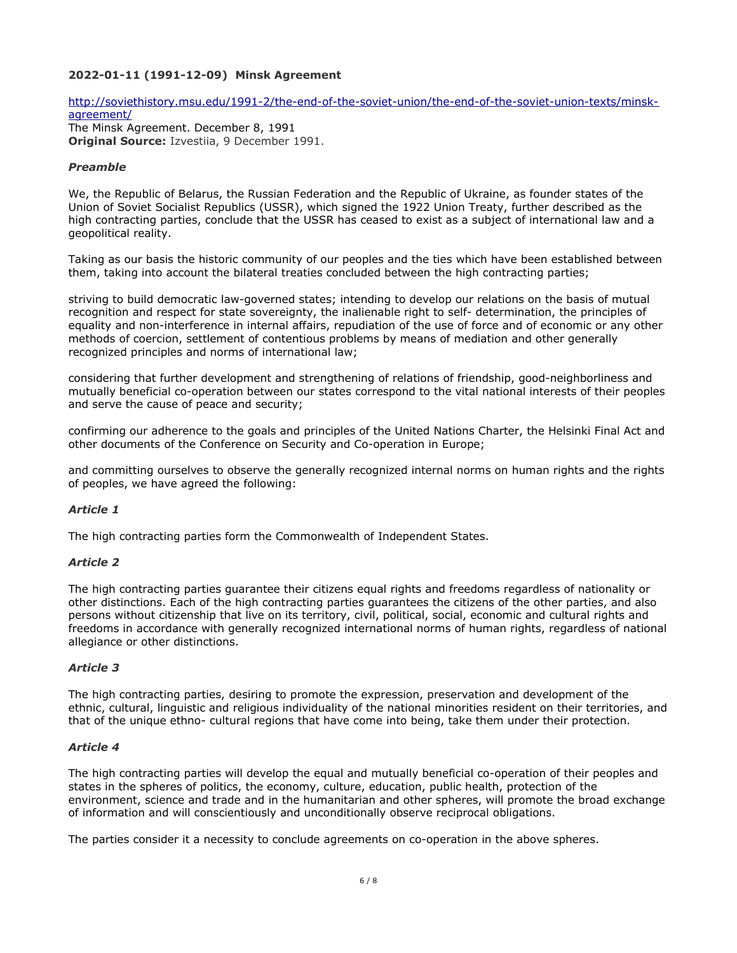# **2022-01-11 (1991-12-09) Minsk Agreement**

[http://soviethistory.msu.edu/1991-2/the-end-of-the-soviet-union/the-end-of-the-soviet-union-texts/minsk](http://soviethistory.msu.edu/1991-2/the-end-of-the-soviet-union/the-end-of-the-soviet-union-texts/minsk-agreement/)[agreement/](http://soviethistory.msu.edu/1991-2/the-end-of-the-soviet-union/the-end-of-the-soviet-union-texts/minsk-agreement/)  The Minsk Agreement. December 8, 1991 **Original Source:** Izvestiia, 9 December 1991.

#### *Preamble*

We, the Republic of Belarus, the Russian Federation and the Republic of Ukraine, as founder states of the Union of Soviet Socialist Republics (USSR), which signed the 1922 Union Treaty, further described as the high contracting parties, conclude that the USSR has ceased to exist as a subject of international law and a geopolitical reality.

Taking as our basis the historic community of our peoples and the ties which have been established between them, taking into account the bilateral treaties concluded between the high contracting parties;

striving to build democratic law-governed states; intending to develop our relations on the basis of mutual recognition and respect for state sovereignty, the inalienable right to self- determination, the principles of equality and non-interference in internal affairs, repudiation of the use of force and of economic or any other methods of coercion, settlement of contentious problems by means of mediation and other generally recognized principles and norms of international law;

considering that further development and strengthening of relations of friendship, good-neighborliness and mutually beneficial co-operation between our states correspond to the vital national interests of their peoples and serve the cause of peace and security;

confirming our adherence to the goals and principles of the United Nations Charter, the Helsinki Final Act and other documents of the Conference on Security and Co-operation in Europe;

and committing ourselves to observe the generally recognized internal norms on human rights and the rights of peoples, we have agreed the following:

# *Article 1*

The high contracting parties form the Commonwealth of Independent States.

# *Article 2*

The high contracting parties guarantee their citizens equal rights and freedoms regardless of nationality or other distinctions. Each of the high contracting parties guarantees the citizens of the other parties, and also persons without citizenship that live on its territory, civil, political, social, economic and cultural rights and freedoms in accordance with generally recognized international norms of human rights, regardless of national allegiance or other distinctions.

#### *Article 3*

The high contracting parties, desiring to promote the expression, preservation and development of the ethnic, cultural, linguistic and religious individuality of the national minorities resident on their territories, and that of the unique ethno- cultural regions that have come into being, take them under their protection.

#### *Article 4*

The high contracting parties will develop the equal and mutually beneficial co-operation of their peoples and states in the spheres of politics, the economy, culture, education, public health, protection of the environment, science and trade and in the humanitarian and other spheres, will promote the broad exchange of information and will conscientiously and unconditionally observe reciprocal obligations.

The parties consider it a necessity to conclude agreements on co-operation in the above spheres.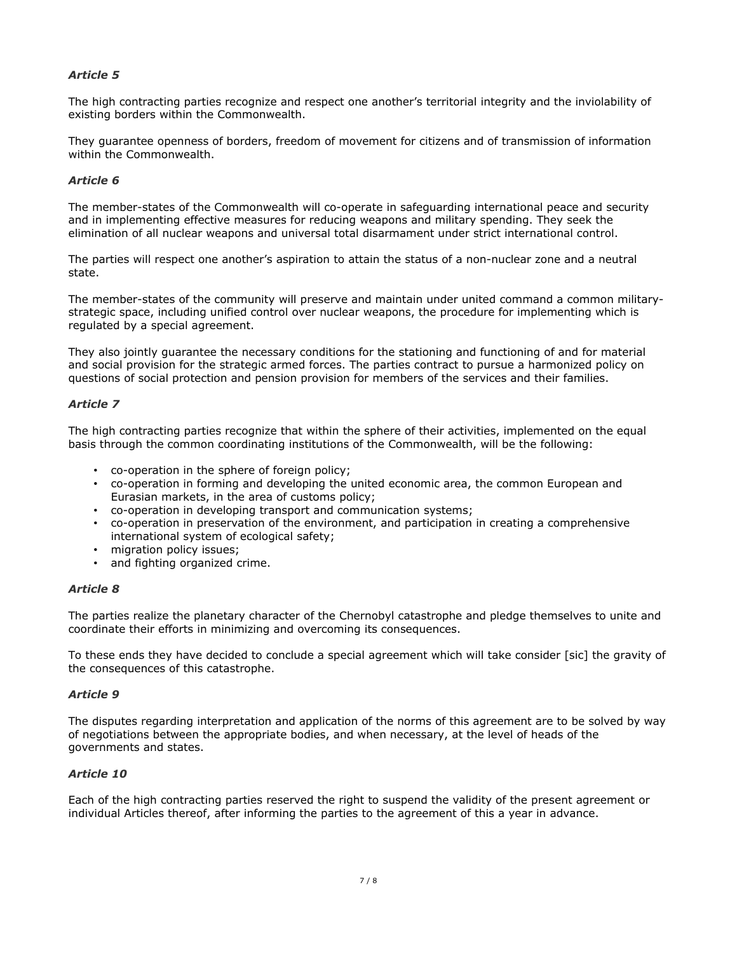# *Article 5*

The high contracting parties recognize and respect one another's territorial integrity and the inviolability of existing borders within the Commonwealth.

They guarantee openness of borders, freedom of movement for citizens and of transmission of information within the Commonwealth.

#### *Article 6*

The member-states of the Commonwealth will co-operate in safeguarding international peace and security and in implementing effective measures for reducing weapons and military spending. They seek the elimination of all nuclear weapons and universal total disarmament under strict international control.

The parties will respect one another's aspiration to attain the status of a non-nuclear zone and a neutral state.

The member-states of the community will preserve and maintain under united command a common militarystrategic space, including unified control over nuclear weapons, the procedure for implementing which is regulated by a special agreement.

They also jointly guarantee the necessary conditions for the stationing and functioning of and for material and social provision for the strategic armed forces. The parties contract to pursue a harmonized policy on questions of social protection and pension provision for members of the services and their families.

# *Article 7*

The high contracting parties recognize that within the sphere of their activities, implemented on the equal basis through the common coordinating institutions of the Commonwealth, will be the following:

- co-operation in the sphere of foreign policy;
- co-operation in forming and developing the united economic area, the common European and Eurasian markets, in the area of customs policy;
- co-operation in developing transport and communication systems;
- co-operation in preservation of the environment, and participation in creating a comprehensive international system of ecological safety;
- migration policy issues;
- and fighting organized crime.

# *Article 8*

The parties realize the planetary character of the Chernobyl catastrophe and pledge themselves to unite and coordinate their efforts in minimizing and overcoming its consequences.

To these ends they have decided to conclude a special agreement which will take consider [sic] the gravity of the consequences of this catastrophe.

# *Article 9*

The disputes regarding interpretation and application of the norms of this agreement are to be solved by way of negotiations between the appropriate bodies, and when necessary, at the level of heads of the governments and states.

# *Article 10*

Each of the high contracting parties reserved the right to suspend the validity of the present agreement or individual Articles thereof, after informing the parties to the agreement of this a year in advance.